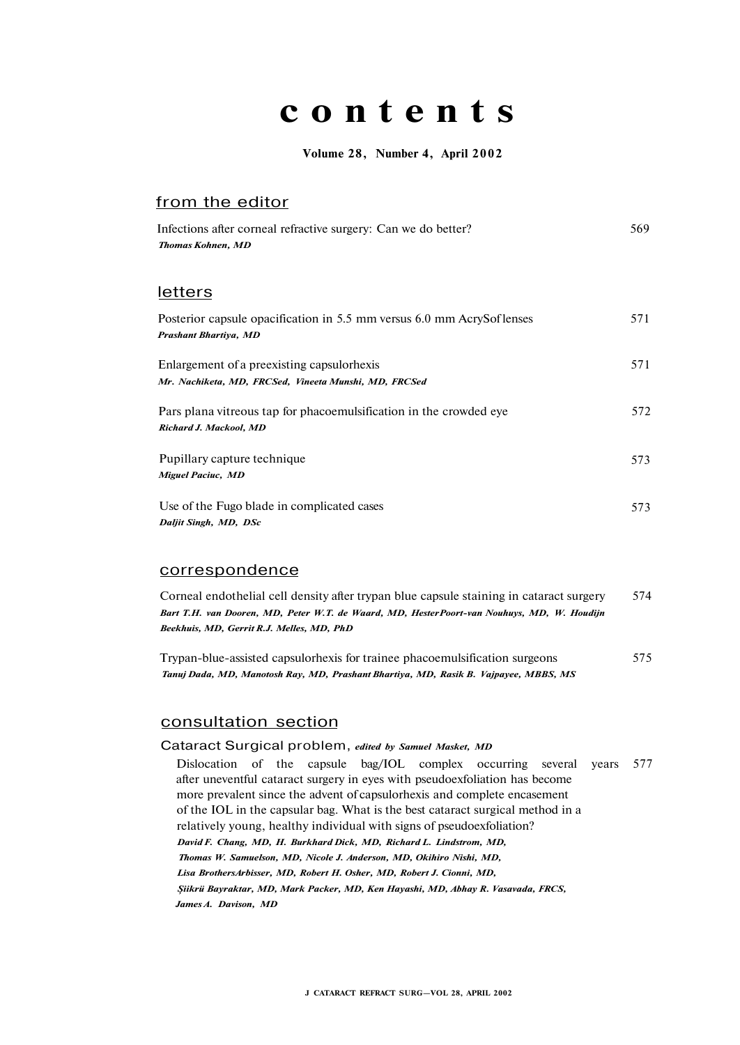# **content s**

**Volume 28, Number 4, April 2002** 

# from the editor

| Infections after corneal refractive surgery: Can we do better?<br><b>Thomas Kohnen, MD</b>           | 569 |
|------------------------------------------------------------------------------------------------------|-----|
| <u>letters</u>                                                                                       |     |
| Posterior capsule opacification in 5.5 mm versus 6.0 mm AcrySof lenses<br>Prashant Bhartiya, MD      | 571 |
| Enlargement of a preexisting capsulor hexis<br>Mr. Nachiketa, MD, FRCSed, Vineeta Munshi, MD, FRCSed | 571 |
| Pars plana vitreous tap for phacoemulsification in the crowded eye<br>Richard J. Mackool, MD         | 572 |
| Pupillary capture technique<br><b>Miguel Paciuc, MD</b>                                              | 573 |
| Use of the Fugo blade in complicated cases<br>Daljit Singh, MD, DSc                                  | 573 |

### correspondence

| Corneal endothelial cell density after trypan blue capsule staining in cataract surgery    | 574 |
|--------------------------------------------------------------------------------------------|-----|
| Bart T.H. van Dooren, MD, Peter W.T. de Waard, MD, HesterPoort-van Nouhuys, MD, W. Houdijn |     |
| Beekhuis, MD, Gerrit R.J. Melles, MD, PhD                                                  |     |

Trypan-blue-assisted capsulorhexis for trainee phacoemulsification surgeons 575 *Tanuj Dada, MD, Manotosh Ray, MD, Prashant Bhartiya, MD, Rasik B. Vajpayee, MBBS, MS* 

## consultation section

### Cataract Surgical problem, *edited by Samuel Masket, MD*

Dislocation of the capsule bag/IOL complex occurring several years 577 after uneventful cataract surgery in eyes with pseudoexfoliation has become more prevalent since the advent of capsulorhexis and complete encasement of the IOL in the capsular bag. What is the best cataract surgical method in a relatively young, healthy individual with signs of pseudoexfoliation? *David F. Chang, MD, H. Burkhard Dick, MD, Richard L. Lindstrom, MD, Thomas W. Samuelson, MD, Nicole J. Anderson, MD, Okihiro Nishi, MD, Lisa BrothersArbisser, MD, Robert H. Osher, MD, Robert J. Cionni, MD, Şiikrü Bayraktar, MD, Mark Packer, MD, Ken Hayashi, MD, Abhay R. Vasavada, FRCS, James A. Davison, MD*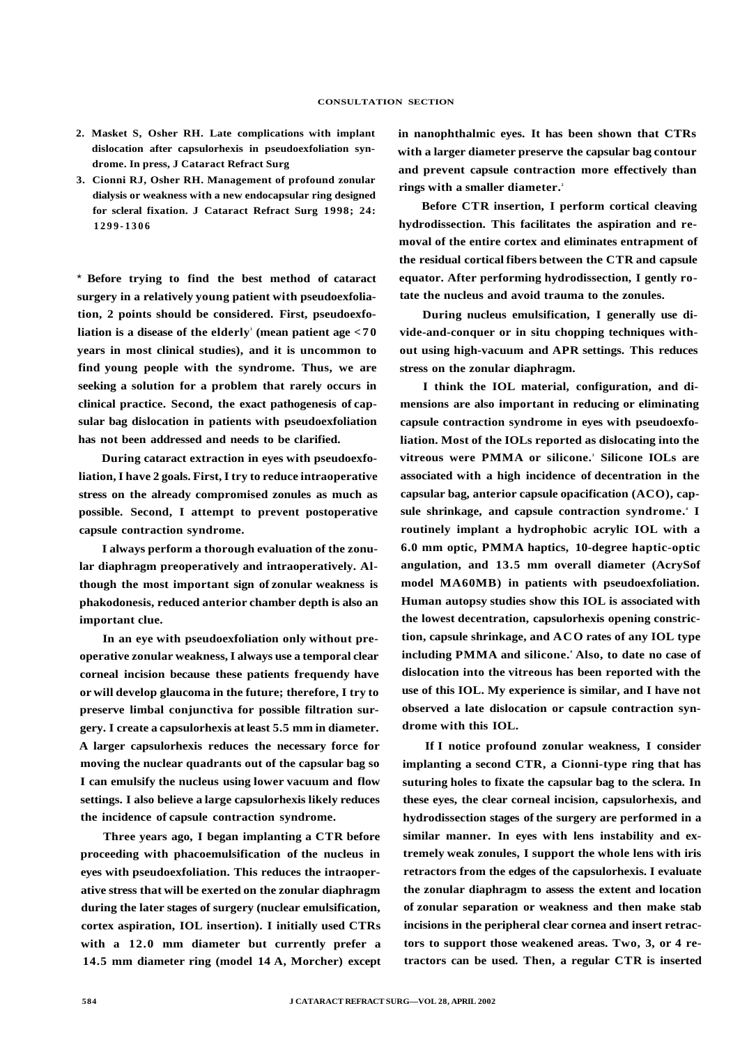- **2. Masket S, Osher RH. Late complications with implant dislocation after capsulorhexis in pseudoexfoliation syndrome. In press, J Cataract Refract Surg**
- **3. Cionni RJ, Osher RH. Management of profound zonular dialysis or weakness with a new endocapsular ring designed for scleral fixation. J Cataract Refract Surg 1998; 24: 1299-130 6**

\* **Before trying to find the best method of cataract surgery in a relatively young patient with pseudoexfoliation, 2 points should be considered. First, pseudoexfoliation is a disease of the elderly<sup>1</sup> (mean patient age <7 0 years in most clinical studies), and it is uncommon to find young people with the syndrome. Thus, we are seeking a solution for a problem that rarely occurs in clinical practice. Second, the exact pathogenesis of capsular bag dislocation in patients with pseudoexfoliation has not been addressed and needs to be clarified.** 

**During cataract extraction in eyes with pseudoexfoliation, I have 2 goals. First, I try to reduce intraoperative stress on the already compromised zonules as much as possible. Second, I attempt to prevent postoperative capsule contraction syndrome.** 

**I always perform a thorough evaluation of the zonular diaphragm preoperatively and intraoperatively. Although the most important sign of zonular weakness is phakodonesis, reduced anterior chamber depth is also an important clue.** 

**In an eye with pseudoexfoliation only without preoperative zonular weakness, I always use a temporal clear corneal incision because these patients frequendy have or will develop glaucoma in the future; therefore, I try to preserve limbal conjunctiva for possible filtration surgery. I create a capsulorhexis at least 5.5 mm in diameter. A larger capsulorhexis reduces the necessary force for moving the nuclear quadrants out of the capsular bag so I can emulsify the nucleus using lower vacuum and flow settings. I also believe a large capsulorhexis likely reduces the incidence of capsule contraction syndrome.** 

**Three years ago, I began implanting a CTR before proceeding with phacoemulsification of the nucleus in eyes with pseudoexfoliation. This reduces the intraoperative stress that will be exerted on the zonular diaphragm during the later stages of surgery (nuclear emulsification, cortex aspiration, IOL insertion). I initially used CTRs with a 12.0 mm diameter but currently prefer a 14.5 mm diameter ring (model 14 A, Morcher) except**  **in nanophthalmic eyes. It has been shown that CTRs with a larger diameter preserve the capsular bag contour and prevent capsule contraction more effectively than rings with a smaller diameter.<sup>2</sup>**

**Before CTR insertion, I perform cortical cleaving hydrodissection. This facilitates the aspiration and removal of the entire cortex and eliminates entrapment of the residual cortical fibers between the CTR and capsule equator. After performing hydrodissection, I gently rotate the nucleus and avoid trauma to the zonules.** 

**During nucleus emulsification, I generally use divide-and-conquer or in situ chopping techniques without using high-vacuum and APR settings. This reduces stress on the zonular diaphragm.** 

**I think the IOL material, configuration, and dimensions are also important in reducing or eliminating capsule contraction syndrome in eyes with pseudoexfoliation. Most of the IOLs reported as dislocating into the vitreous were PMMA or silicone.<sup>3</sup> Silicone IOLs are associated with a high incidence of decentration in the capsular bag, anterior capsule opacification (ACO), cap**sule shrinkage, and capsule contraction syndrome.<sup>4</sup> I **routinely implant a hydrophobic acrylic IOL with a 6.0 mm optic, PMMA haptics, 10-degree haptic-optic angulation, and 13.5 mm overall diameter (AcrySof model MA60MB) in patients with pseudoexfoliation. Human autopsy studies show this IOL is associated with the lowest decentration, capsulorhexis opening constriction, capsule shrinkage, and ACO rates of any IOL type including PMMA and silicone.<sup>4</sup> Also, to date no case of dislocation into the vitreous has been reported with the use of this IOL. My experience is similar, and I have not observed a late dislocation or capsule contraction syndrome with this IOL.** 

**If I notice profound zonular weakness, I consider implanting a second CTR, a Cionni-type ring that has suturing holes to fixate the capsular bag to the sclera. In these eyes, the clear corneal incision, capsulorhexis, and hydrodissection stages of the surgery are performed in a similar manner. In eyes with lens instability and extremely weak zonules, I support the whole lens with iris retractors from the edges of the capsulorhexis. I evaluate the zonular diaphragm to assess the extent and location of zonular separation or weakness and then make stab incisions in the peripheral clear cornea and insert retractors to support those weakened areas. Two, 3, or 4 retractors can be used. Then, a regular CTR is inserted**